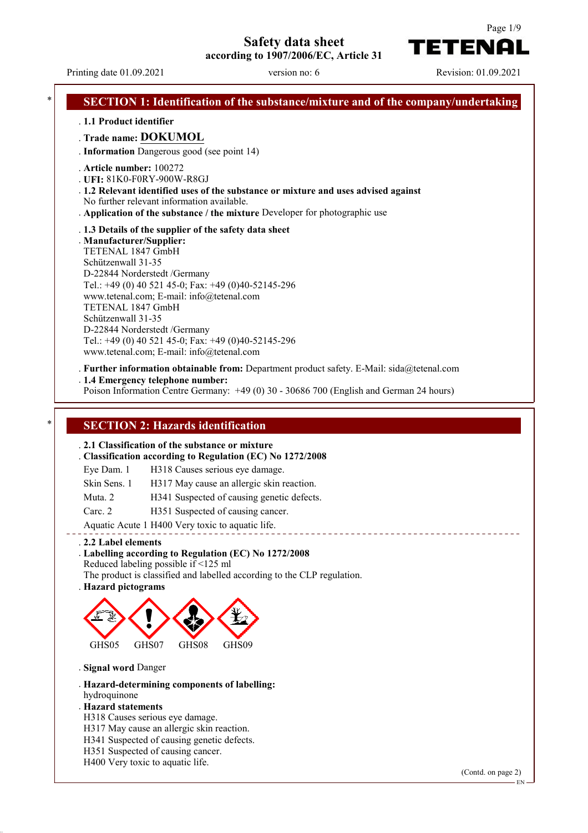**Safety data sheet**

**according to 1907/2006/EC, Article 31**

TETENAI

Printing date 01.09.2021 version no: 6 Revision: 01.09.2021

| *                                                                                          |                                                                                                                                                                                                                                                                                                                                                                                                                                                  |  |  |  |
|--------------------------------------------------------------------------------------------|--------------------------------------------------------------------------------------------------------------------------------------------------------------------------------------------------------------------------------------------------------------------------------------------------------------------------------------------------------------------------------------------------------------------------------------------------|--|--|--|
|                                                                                            | <b>SECTION 1: Identification of the substance/mixture and of the company/undertaking</b>                                                                                                                                                                                                                                                                                                                                                         |  |  |  |
|                                                                                            | . 1.1 Product identifier                                                                                                                                                                                                                                                                                                                                                                                                                         |  |  |  |
|                                                                                            | . Trade name: DOKUMOL                                                                                                                                                                                                                                                                                                                                                                                                                            |  |  |  |
|                                                                                            | . Information Dangerous good (see point 14)                                                                                                                                                                                                                                                                                                                                                                                                      |  |  |  |
|                                                                                            | . Article number: 100272<br>. UFI: 81K0-F0RY-900W-R8GJ<br>. 1.2 Relevant identified uses of the substance or mixture and uses advised against<br>No further relevant information available.                                                                                                                                                                                                                                                      |  |  |  |
|                                                                                            | . Application of the substance / the mixture Developer for photographic use                                                                                                                                                                                                                                                                                                                                                                      |  |  |  |
|                                                                                            | . 1.3 Details of the supplier of the safety data sheet<br>. Manufacturer/Supplier:<br>TETENAL 1847 GmbH<br>Schützenwall 31-35<br>D-22844 Norderstedt /Germany<br>Tel.: +49 (0) 40 521 45-0; Fax: +49 (0)40-52145-296<br>www.tetenal.com; E-mail: info@tetenal.com<br>TETENAL 1847 GmbH<br>Schützenwall 31-35<br>D-22844 Norderstedt /Germany<br>Tel.: +49 (0) 40 521 45-0; Fax: +49 (0)40-52145-296<br>www.tetenal.com; E-mail: info@tetenal.com |  |  |  |
| . Further information obtainable from: Department product safety. E-Mail: sida@tetenal.com |                                                                                                                                                                                                                                                                                                                                                                                                                                                  |  |  |  |
|                                                                                            | .1.4 Emergency telephone number:<br>Poison Information Centre Germany: +49 (0) 30 - 30686 700 (English and German 24 hours)                                                                                                                                                                                                                                                                                                                      |  |  |  |
|                                                                                            |                                                                                                                                                                                                                                                                                                                                                                                                                                                  |  |  |  |
| ł.                                                                                         | <b>SECTION 2: Hazards identification</b>                                                                                                                                                                                                                                                                                                                                                                                                         |  |  |  |
|                                                                                            | . 2.1 Classification of the substance or mixture                                                                                                                                                                                                                                                                                                                                                                                                 |  |  |  |
|                                                                                            | . Classification according to Regulation (EC) No 1272/2008                                                                                                                                                                                                                                                                                                                                                                                       |  |  |  |
|                                                                                            | Eye Dam. 1<br>H318 Causes serious eye damage.                                                                                                                                                                                                                                                                                                                                                                                                    |  |  |  |
|                                                                                            | Skin Sens. 1<br>H317 May cause an allergic skin reaction.                                                                                                                                                                                                                                                                                                                                                                                        |  |  |  |
|                                                                                            | H341 Suspected of causing genetic defects.<br>Muta. 2                                                                                                                                                                                                                                                                                                                                                                                            |  |  |  |
|                                                                                            | H351 Suspected of causing cancer.<br>Carc. 2                                                                                                                                                                                                                                                                                                                                                                                                     |  |  |  |

<u> - - - - - - - - -</u>

Aquatic Acute 1 H400 Very toxic to aquatic life.

#### . **2.2 Label elements**

- . **Labelling according to Regulation (EC) No 1272/2008** Reduced labeling possible if <125 ml The product is classified and labelled according to the CLP regulation.
- . **Hazard pictograms**



- . **Signal word** Danger
- . **Hazard-determining components of labelling:**
- hydroquinone . **Hazard statements**
- H318 Causes serious eye damage.
- H317 May cause an allergic skin reaction.
- H341 Suspected of causing genetic defects.
- H351 Suspected of causing cancer.
- H400 Very toxic to aquatic life.

(Contd. on page 2)

EN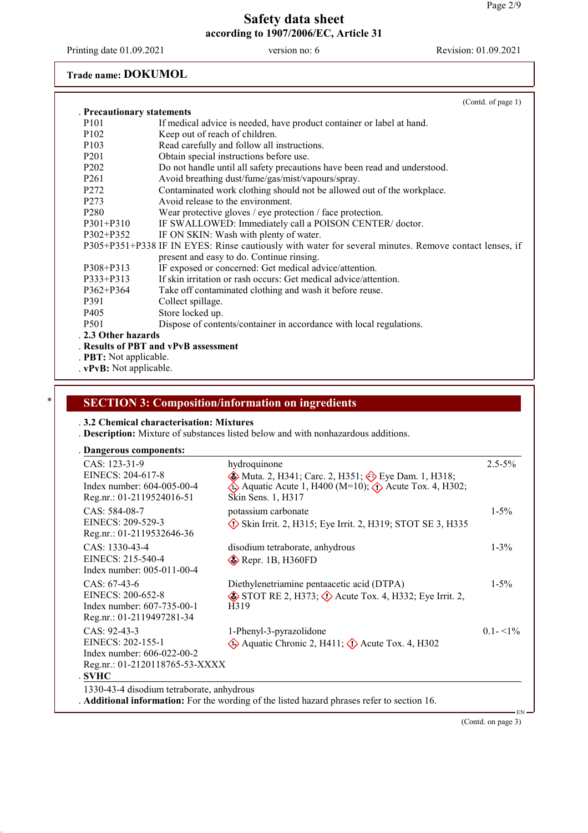# **Trade name: DOKUMOL**

|                                      | (Contd. of page 1)                                                                                    |  |  |  |  |
|--------------------------------------|-------------------------------------------------------------------------------------------------------|--|--|--|--|
|                                      | . Precautionary statements                                                                            |  |  |  |  |
| P <sub>10</sub> 1                    | If medical advice is needed, have product container or label at hand.                                 |  |  |  |  |
| P <sub>102</sub>                     | Keep out of reach of children.                                                                        |  |  |  |  |
| P <sub>103</sub>                     | Read carefully and follow all instructions.                                                           |  |  |  |  |
| P <sub>201</sub>                     | Obtain special instructions before use.                                                               |  |  |  |  |
| P <sub>202</sub>                     | Do not handle until all safety precautions have been read and understood.                             |  |  |  |  |
| P <sub>261</sub>                     | Avoid breathing dust/fume/gas/mist/vapours/spray.                                                     |  |  |  |  |
| P <sub>272</sub>                     | Contaminated work clothing should not be allowed out of the workplace.                                |  |  |  |  |
| P <sub>273</sub>                     | Avoid release to the environment.                                                                     |  |  |  |  |
| P <sub>280</sub>                     | Wear protective gloves / eye protection / face protection.                                            |  |  |  |  |
| $P301 + P310$                        | IF SWALLOWED: Immediately call a POISON CENTER/doctor.                                                |  |  |  |  |
| P302+P352                            | IF ON SKIN: Wash with plenty of water.                                                                |  |  |  |  |
|                                      | P305+P351+P338 IF IN EYES: Rinse cautiously with water for several minutes. Remove contact lenses, if |  |  |  |  |
|                                      | present and easy to do. Continue rinsing.                                                             |  |  |  |  |
| P308+P313                            | IF exposed or concerned: Get medical advice/attention.                                                |  |  |  |  |
| P333+P313                            | If skin irritation or rash occurs: Get medical advice/attention.                                      |  |  |  |  |
| $P362 + P364$                        | Take off contaminated clothing and wash it before reuse.                                              |  |  |  |  |
| P391                                 | Collect spillage.                                                                                     |  |  |  |  |
| P <sub>405</sub>                     | Store locked up.                                                                                      |  |  |  |  |
| <b>P501</b>                          | Dispose of contents/container in accordance with local regulations.                                   |  |  |  |  |
| . 2.3 Other hazards                  |                                                                                                       |  |  |  |  |
| . Results of PBT and vPvB assessment |                                                                                                       |  |  |  |  |
| . PBT: Not applicable.               |                                                                                                       |  |  |  |  |
| . vPvB: Not applicable.              |                                                                                                       |  |  |  |  |

## \* **SECTION 3: Composition/information on ingredients**

## . **3.2 Chemical characterisation: Mixtures**

. **Description:** Mixture of substances listed below and with nonhazardous additions.

|  | . Dangerous components: |
|--|-------------------------|
|  |                         |

| $CAS: 123-31-9$<br>EINECS: 204-617-8<br>Index number: 604-005-00-4<br>Reg.nr.: 01-2119524016-51                                                  | hydroquinone<br>Muta. 2, H341; Carc. 2, H351; $\otimes$ Eye Dam. 1, H318;<br>Aquatic Acute 1, H400 (M=10); $\langle \cdot \rangle$ Acute Tox. 4, H302;<br>Skin Sens. 1, H317 | $2.5 - 5\%$ |
|--------------------------------------------------------------------------------------------------------------------------------------------------|------------------------------------------------------------------------------------------------------------------------------------------------------------------------------|-------------|
| CAS: 584-08-7<br>EINECS: 209-529-3<br>Reg.nr.: 01-2119532646-36                                                                                  | potassium carbonate<br>$\diamond$ Skin Irrit. 2, H315; Eye Irrit. 2, H319; STOT SE 3, H335                                                                                   | $1 - 5\%$   |
| CAS: 1330-43-4<br>EINECS: 215-540-4<br>Index number: 005-011-00-4                                                                                | disodium tetraborate, anhydrous<br>$\diamond$ Repr. 1B, H360FD                                                                                                               | $1 - 3\%$   |
| $CAS: 67-43-6$<br>EINECS: 200-652-8<br>Index number: 607-735-00-1<br>Reg.nr.: 01-2119497281-34                                                   | Diethylenetriamine pentaacetic acid (DTPA)<br>$\circledast$ STOT RE 2, H373; $\circledast$ Acute Tox. 4, H332; Eye Irrit. 2,<br>H319                                         | $1 - 5\%$   |
| $CAS: 92-43-3$<br>EINECS: 202-155-1<br>Index number: $606-022-00-2$<br>Reg.nr.: 01-2120118765-53-XXXX<br><b>SVHC</b>                             | 1-Phenyl-3-pyrazolidone<br>Aquatic Chronic 2, H411; $\langle \rangle$ Acute Tox. 4, H302                                                                                     | $0.1 - 1\%$ |
| 1330-43-4 disodium tetraborate, anhydrous<br>Additional information: For the wording of the listed hazard phrases refer to section 16.<br>- FN · |                                                                                                                                                                              |             |

(Contd. on page 3)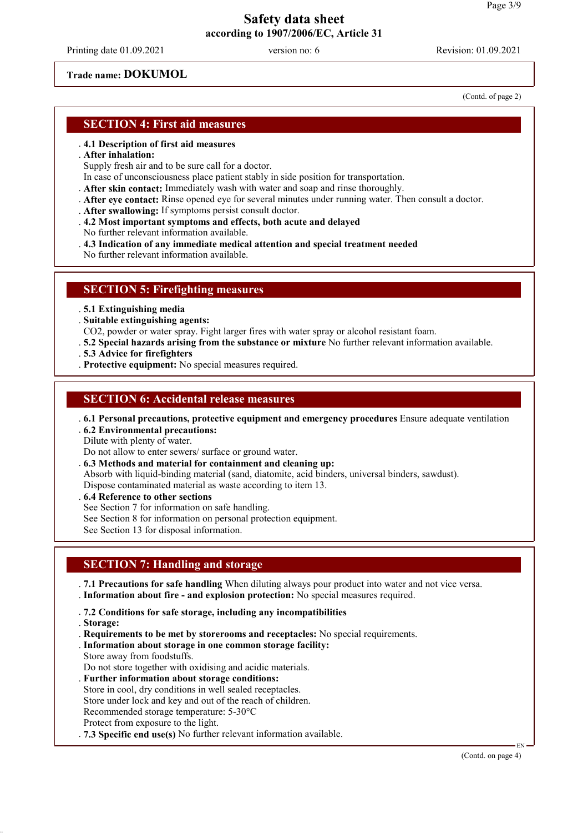Printing date 01.09.2021 version no: 6 Revision: 01.09.2021

#### **Trade name: DOKUMOL**

(Contd. of page 2)

#### **SECTION 4: First aid measures**

#### . **4.1 Description of first aid measures**

#### . **After inhalation:**

Supply fresh air and to be sure call for a doctor.

In case of unconsciousness place patient stably in side position for transportation.

- . **After skin contact:** Immediately wash with water and soap and rinse thoroughly.
- . **After eye contact:** Rinse opened eye for several minutes under running water. Then consult a doctor.
- . **After swallowing:** If symptoms persist consult doctor.
- . **4.2 Most important symptoms and effects, both acute and delayed**
- No further relevant information available.
- . **4.3 Indication of any immediate medical attention and special treatment needed**

No further relevant information available.

#### **SECTION 5: Firefighting measures**

. **5.1 Extinguishing media**

. **Suitable extinguishing agents:**

CO2, powder or water spray. Fight larger fires with water spray or alcohol resistant foam.

- . **5.2 Special hazards arising from the substance or mixture** No further relevant information available.
- . **5.3 Advice for firefighters**
- . **Protective equipment:** No special measures required.

## **SECTION 6: Accidental release measures**

. **6.1 Personal precautions, protective equipment and emergency procedures** Ensure adequate ventilation

. **6.2 Environmental precautions:**

Dilute with plenty of water.

Do not allow to enter sewers/ surface or ground water.

- . **6.3 Methods and material for containment and cleaning up:**
- Absorb with liquid-binding material (sand, diatomite, acid binders, universal binders, sawdust). Dispose contaminated material as waste according to item 13.
- . **6.4 Reference to other sections**
- See Section 7 for information on safe handling.
- See Section 8 for information on personal protection equipment.
- See Section 13 for disposal information.

## **SECTION 7: Handling and storage**

. **7.1 Precautions for safe handling** When diluting always pour product into water and not vice versa.

- . **Information about fire and explosion protection:** No special measures required.
- . **7.2 Conditions for safe storage, including any incompatibilities**
- . **Storage:**
- . **Requirements to be met by storerooms and receptacles:** No special requirements.
- . **Information about storage in one common storage facility:**
- Store away from foodstuffs.

Do not store together with oxidising and acidic materials.

- . **Further information about storage conditions:**
- Store in cool, dry conditions in well sealed receptacles.
- Store under lock and key and out of the reach of children.
- Recommended storage temperature: 5-30°C
- Protect from exposure to the light.
- . **7.3 Specific end use(s)** No further relevant information available.

(Contd. on page 4)

EN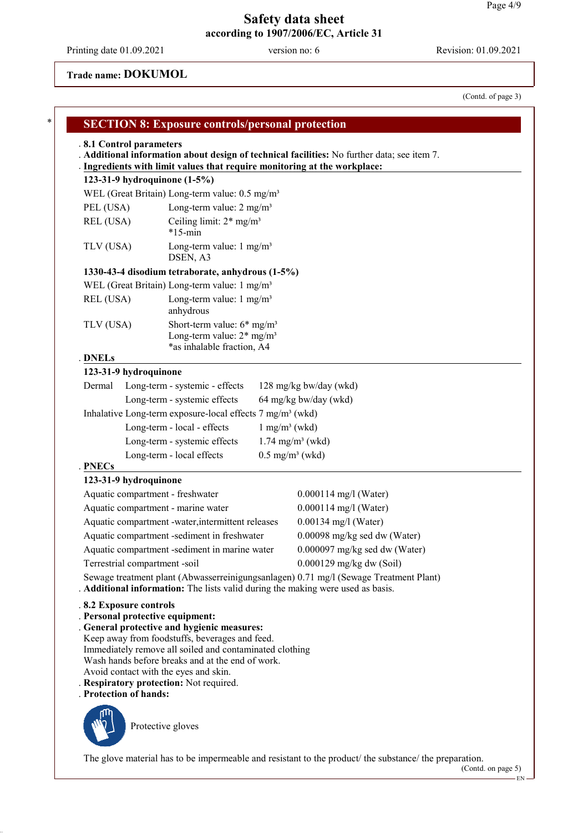# **Trade name: DOKUMOL**

(Contd. of page 3)

|                                                                                      | . Ingredients with limit values that require monitoring at the workplace:                                                                                                                                                                                                                        | . Additional information about design of technical facilities: No further data; see item $7$ . |  |
|--------------------------------------------------------------------------------------|--------------------------------------------------------------------------------------------------------------------------------------------------------------------------------------------------------------------------------------------------------------------------------------------------|------------------------------------------------------------------------------------------------|--|
| 123-31-9 hydroquinone (1-5%)                                                         |                                                                                                                                                                                                                                                                                                  |                                                                                                |  |
|                                                                                      | WEL (Great Britain) Long-term value: 0.5 mg/m <sup>3</sup>                                                                                                                                                                                                                                       |                                                                                                |  |
| PEL (USA)                                                                            | Long-term value: $2 \text{ mg/m}^3$                                                                                                                                                                                                                                                              |                                                                                                |  |
| REL (USA)                                                                            | $*15$ -min                                                                                                                                                                                                                                                                                       | Ceiling limit: $2*$ mg/m <sup>3</sup>                                                          |  |
| TLV (USA)                                                                            | Long-term value: $1 \text{ mg/m}^3$<br>DSEN, A3                                                                                                                                                                                                                                                  |                                                                                                |  |
|                                                                                      | 1330-43-4 disodium tetraborate, anhydrous (1-5%)                                                                                                                                                                                                                                                 |                                                                                                |  |
|                                                                                      | WEL (Great Britain) Long-term value: 1 mg/m <sup>3</sup>                                                                                                                                                                                                                                         |                                                                                                |  |
| REL (USA)                                                                            | Long-term value: $1 \text{ mg/m}^3$<br>anhydrous                                                                                                                                                                                                                                                 |                                                                                                |  |
| TLV (USA)                                                                            | Short-term value: $6*$ mg/m <sup>3</sup><br>Long-term value: $2*$ mg/m <sup>3</sup>                                                                                                                                                                                                              |                                                                                                |  |
| <b>DNELs</b>                                                                         | *as inhalable fraction, A4                                                                                                                                                                                                                                                                       |                                                                                                |  |
| 123-31-9 hydroquinone                                                                |                                                                                                                                                                                                                                                                                                  |                                                                                                |  |
| Dermal                                                                               | Long-term - systemic - effects                                                                                                                                                                                                                                                                   | 128 mg/kg bw/day (wkd)                                                                         |  |
|                                                                                      | Long-term - systemic effects                                                                                                                                                                                                                                                                     | 64 mg/kg bw/day (wkd)                                                                          |  |
|                                                                                      | Inhalative Long-term exposure-local effects 7 mg/m <sup>3</sup> (wkd)                                                                                                                                                                                                                            |                                                                                                |  |
|                                                                                      | Long-term - local - effects                                                                                                                                                                                                                                                                      | $1$ mg/m <sup>3</sup> (wkd)                                                                    |  |
|                                                                                      | Long-term - systemic effects                                                                                                                                                                                                                                                                     | $1.74$ mg/m <sup>3</sup> (wkd)                                                                 |  |
|                                                                                      | Long-term - local effects                                                                                                                                                                                                                                                                        | $0.5$ mg/m <sup>3</sup> (wkd)                                                                  |  |
| PNECs                                                                                |                                                                                                                                                                                                                                                                                                  |                                                                                                |  |
| 123-31-9 hydroquinone                                                                |                                                                                                                                                                                                                                                                                                  |                                                                                                |  |
| Aquatic compartment - freshwater                                                     |                                                                                                                                                                                                                                                                                                  | $0.000114$ mg/l (Water)                                                                        |  |
|                                                                                      | Aquatic compartment - marine water                                                                                                                                                                                                                                                               | $0.000114$ mg/l (Water)                                                                        |  |
|                                                                                      | Aquatic compartment -water, intermittent releases                                                                                                                                                                                                                                                | $0.00134$ mg/l (Water)                                                                         |  |
|                                                                                      | Aquatic compartment -sediment in freshwater                                                                                                                                                                                                                                                      | 0.00098 mg/kg sed dw (Water)                                                                   |  |
|                                                                                      | Aquatic compartment -sediment in marine water                                                                                                                                                                                                                                                    | $0.000097$ mg/kg sed dw (Water)                                                                |  |
| Terrestrial compartment -soil                                                        |                                                                                                                                                                                                                                                                                                  | $0.000129$ mg/kg dw (Soil)                                                                     |  |
|                                                                                      | . Additional information: The lists valid during the making were used as basis.                                                                                                                                                                                                                  | Sewage treatment plant (Abwasserreinigungsanlagen) 0.71 mg/l (Sewage Treatment Plant)          |  |
| .8.2 Exposure controls<br>. Personal protective equipment:<br>. Protection of hands: | . General protective and hygienic measures:<br>Keep away from foodstuffs, beverages and feed.<br>Immediately remove all soiled and contaminated clothing<br>Wash hands before breaks and at the end of work.<br>Avoid contact with the eyes and skin.<br>. Respiratory protection: Not required. |                                                                                                |  |
|                                                                                      | Protective gloves                                                                                                                                                                                                                                                                                |                                                                                                |  |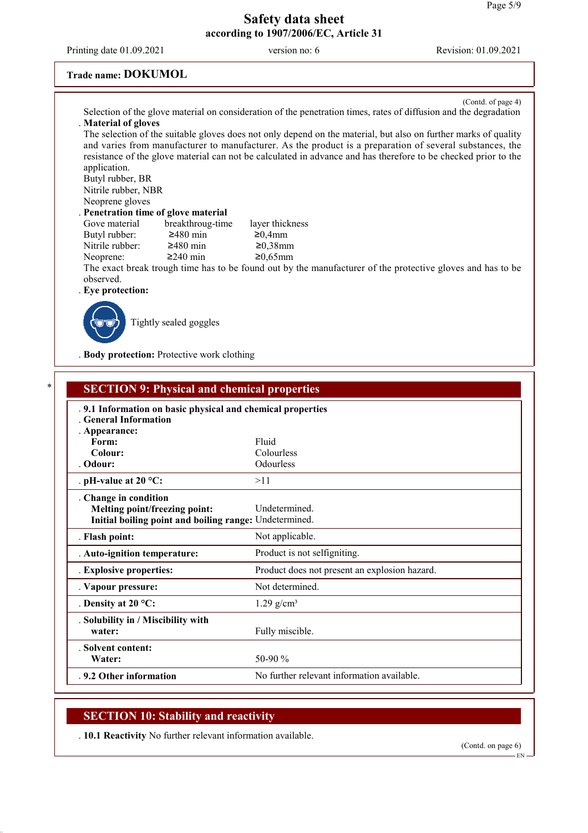Printing date 01.09.2021 version no: 6 Revision: 01.09.2021

# **Trade name: DOKUMOL**

|                                                                                                                   |                                                                                                            | (Contd. of page 4)                                                                                              |  |  |
|-------------------------------------------------------------------------------------------------------------------|------------------------------------------------------------------------------------------------------------|-----------------------------------------------------------------------------------------------------------------|--|--|
| Selection of the glove material on consideration of the penetration times, rates of diffusion and the degradation |                                                                                                            |                                                                                                                 |  |  |
| . Material of gloves                                                                                              |                                                                                                            |                                                                                                                 |  |  |
|                                                                                                                   |                                                                                                            | The selection of the suitable gloves does not only depend on the material, but also on further marks of quality |  |  |
|                                                                                                                   |                                                                                                            | and varies from manufacturer to manufacturer. As the product is a preparation of several substances, the        |  |  |
|                                                                                                                   |                                                                                                            | resistance of the glove material can not be calculated in advance and has therefore to be checked prior to the  |  |  |
| application.                                                                                                      |                                                                                                            |                                                                                                                 |  |  |
| Butyl rubber, BR                                                                                                  |                                                                                                            |                                                                                                                 |  |  |
| Nitrile rubber, NBR                                                                                               |                                                                                                            |                                                                                                                 |  |  |
| Neoprene gloves                                                                                                   |                                                                                                            |                                                                                                                 |  |  |
| . Penetration time of glove material                                                                              |                                                                                                            |                                                                                                                 |  |  |
| Gove material                                                                                                     | breakthroug-time                                                                                           | layer thickness                                                                                                 |  |  |
| Butyl rubber:                                                                                                     | $\geq$ 480 min                                                                                             | $\geq 0.4$ mm                                                                                                   |  |  |
| Nitrile rubber:                                                                                                   | $\geq$ 480 min                                                                                             | $≥0,38$ mm                                                                                                      |  |  |
| Neoprene:                                                                                                         | $\geq$ 240 min                                                                                             | $≥0,65$ mm                                                                                                      |  |  |
|                                                                                                                   | The exact break trough time has to be found out by the manufacturer of the protective gloves and has to be |                                                                                                                 |  |  |
| observed.                                                                                                         |                                                                                                            |                                                                                                                 |  |  |
| . Eye protection:                                                                                                 |                                                                                                            |                                                                                                                 |  |  |
|                                                                                                                   | Tightly sealed goggles                                                                                     |                                                                                                                 |  |  |

. **Body protection:** Protective work clothing

| .9.1 Information on basic physical and chemical properties<br>General Information<br>. Appearance: |                                               |  |
|----------------------------------------------------------------------------------------------------|-----------------------------------------------|--|
|                                                                                                    |                                               |  |
| Colour:                                                                                            | Colourless                                    |  |
| . Odour:                                                                                           | <b>Odourless</b>                              |  |
| . pH-value at $20 °C$ :                                                                            | >11                                           |  |
| . Change in condition                                                                              |                                               |  |
| Melting point/freezing point:                                                                      | Undetermined.                                 |  |
| Initial boiling point and boiling range: Undetermined.                                             |                                               |  |
| . Flash point:                                                                                     | Not applicable.                               |  |
| . Auto-ignition temperature:                                                                       | Product is not selfigniting.                  |  |
| . Explosive properties:                                                                            | Product does not present an explosion hazard. |  |
| . Vapour pressure:                                                                                 | Not determined.                               |  |
| . Density at $20^{\circ}$ C:                                                                       | $1.29$ g/cm <sup>3</sup>                      |  |
| . Solubility in / Miscibility with                                                                 |                                               |  |
| water:                                                                                             | Fully miscible.                               |  |
| . Solvent content:                                                                                 |                                               |  |
| Water:                                                                                             | 50-90 $%$                                     |  |

# **SECTION 10: Stability and reactivity**

. **10.1 Reactivity** No further relevant information available.

(Contd. on page 6) EN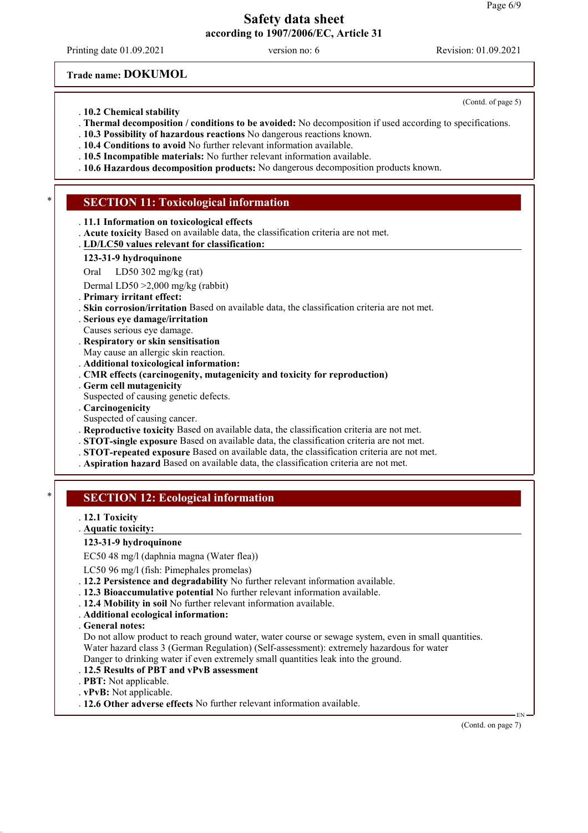Printing date 01.09.2021 version no: 6 Revision: 01.09.2021

**Trade name: DOKUMOL**

. **10.2 Chemical stability**

- . **Thermal decomposition / conditions to be avoided:** No decomposition if used according to specifications.
- . **10.3 Possibility of hazardous reactions** No dangerous reactions known.
- . **10.4 Conditions to avoid** No further relevant information available.
- . **10.5 Incompatible materials:** No further relevant information available.
- . **10.6 Hazardous decomposition products:** No dangerous decomposition products known.

## **SECTION 11: Toxicological information**

- . **11.1 Information on toxicological effects**
- . **Acute toxicity** Based on available data, the classification criteria are not met.

#### **LD/LC50 values relevant for classification:** .

#### **123-31-9 hydroquinone**

Oral LD50 302 mg/kg (rat)

Dermal LD50 >2,000 mg/kg (rabbit)

- . **Primary irritant effect:**
- . **Skin corrosion/irritation** Based on available data, the classification criteria are not met.
- . **Serious eye damage/irritation**
- Causes serious eye damage.
- . **Respiratory or skin sensitisation**
- May cause an allergic skin reaction.
- . **Additional toxicological information:**
- . **CMR effects (carcinogenity, mutagenicity and toxicity for reproduction)**
- . **Germ cell mutagenicity**
- Suspected of causing genetic defects.
- . **Carcinogenicity**
- Suspected of causing cancer.
- . **Reproductive toxicity** Based on available data, the classification criteria are not met.
- . **STOT-single exposure** Based on available data, the classification criteria are not met.
- . **STOT-repeated exposure** Based on available data, the classification criteria are not met.
- . **Aspiration hazard** Based on available data, the classification criteria are not met.

## **SECTION 12: Ecological information**

- . **12.1 Toxicity**
- **Aquatic toxicity:** .

#### **123-31-9 hydroquinone**

EC50 48 mg/l (daphnia magna (Water flea))

LC50 96 mg/l (fish: Pimephales promelas)

- . **12.2 Persistence and degradability** No further relevant information available.
- . **12.3 Bioaccumulative potential** No further relevant information available.
- . **12.4 Mobility in soil** No further relevant information available.
- . **Additional ecological information:**
- . **General notes:**

Do not allow product to reach ground water, water course or sewage system, even in small quantities. Water hazard class 3 (German Regulation) (Self-assessment): extremely hazardous for water

- Danger to drinking water if even extremely small quantities leak into the ground.
- . **12.5 Results of PBT and vPvB assessment**
- . **PBT:** Not applicable.
- . **vPvB:** Not applicable.
- . **12.6 Other adverse effects** No further relevant information available.

(Contd. on page 7)

EN

(Contd. of page 5)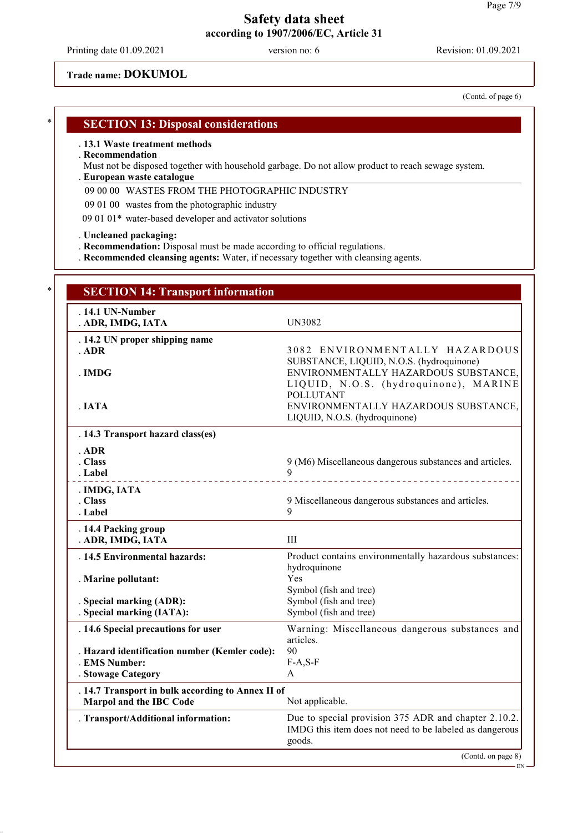Printing date 01.09.2021 version no: 6 Revision: 01.09.2021

## **Trade name: DOKUMOL**

(Contd. of page 6)

## **SECTION 13: Disposal considerations**

#### . **13.1 Waste treatment methods**

#### . **Recommendation**

Must not be disposed together with household garbage. Do not allow product to reach sewage system.

- **European waste catalogue** .
- 09 00 00 WASTES FROM THE PHOTOGRAPHIC INDUSTRY

09 01 00 wastes from the photographic industry

09 01 01\* water-based developer and activator solutions

#### . **Uncleaned packaging:**

- . **Recommendation:** Disposal must be made according to official regulations.
- . **Recommended cleansing agents:** Water, if necessary together with cleansing agents.

| . 14.1 UN-Number<br>. ADR, IMDG, IATA                                               | <b>UN3082</b>                                                                                                             |
|-------------------------------------------------------------------------------------|---------------------------------------------------------------------------------------------------------------------------|
| . 14.2 UN proper shipping name<br>$.$ ADR                                           | 3082 ENVIRONMENTALLY HAZARDOUS<br>SUBSTANCE, LIQUID, N.O.S. (hydroquinone)                                                |
| . IMDG                                                                              | ENVIRONMENTALLY HAZARDOUS SUBSTANCE,<br>LIQUID, N.O.S. (hydroquinone), MARINE<br><b>POLLUTANT</b>                         |
| . IATA                                                                              | ENVIRONMENTALLY HAZARDOUS SUBSTANCE,<br>LIQUID, N.O.S. (hydroquinone)                                                     |
| . 14.3 Transport hazard class(es)                                                   |                                                                                                                           |
| $.$ ADR                                                                             |                                                                                                                           |
| . Class                                                                             | 9 (M6) Miscellaneous dangerous substances and articles.<br>$\mathbf Q$                                                    |
| . Label<br>_________________________                                                | _________________________________                                                                                         |
| . IMDG, IATA<br>. Class                                                             | 9 Miscellaneous dangerous substances and articles.                                                                        |
| . Label                                                                             | 9                                                                                                                         |
| . 14.4 Packing group                                                                |                                                                                                                           |
| . ADR, IMDG, IATA                                                                   | Ш                                                                                                                         |
| . 14.5 Environmental hazards:                                                       | Product contains environmentally hazardous substances:<br>hydroquinone                                                    |
| . Marine pollutant:                                                                 | Yes                                                                                                                       |
|                                                                                     | Symbol (fish and tree)                                                                                                    |
| . Special marking (ADR):                                                            | Symbol (fish and tree)                                                                                                    |
| . Special marking (IATA):                                                           | Symbol (fish and tree)                                                                                                    |
| . 14.6 Special precautions for user                                                 | Warning: Miscellaneous dangerous substances and<br>articles.                                                              |
| . Hazard identification number (Kemler code):                                       | 90                                                                                                                        |
| . EMS Number:                                                                       | $F-A, S-F$                                                                                                                |
| . Stowage Category                                                                  | A                                                                                                                         |
| . 14.7 Transport in bulk according to Annex II of<br><b>Marpol and the IBC Code</b> | Not applicable.                                                                                                           |
| . Transport/Additional information:                                                 | Due to special provision 375 ADR and chapter 2.10.2.<br>IMDG this item does not need to be labeled as dangerous<br>goods. |
|                                                                                     | (Contd. on page 8)                                                                                                        |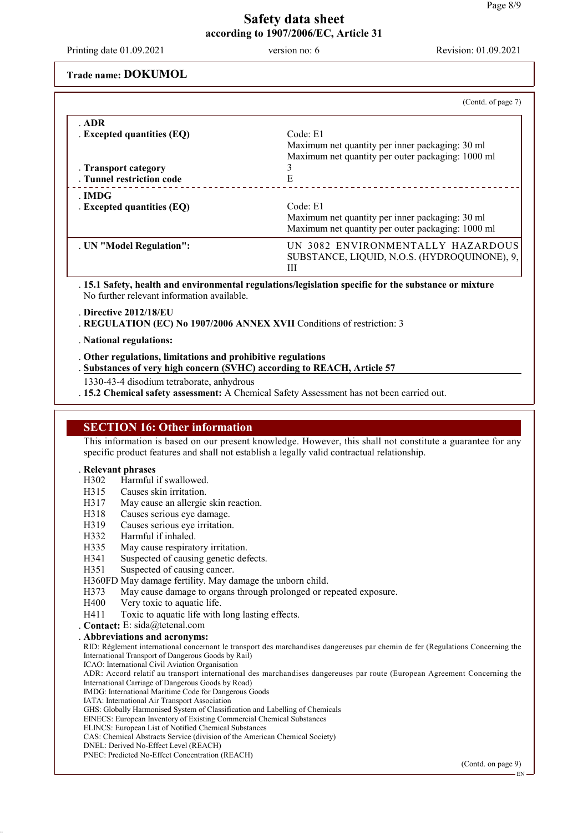Printing date 01.09.2021 version no: 6 Revision: 01.09.2021

**Trade name: DOKUMOL**

|                              | (Contd. of page 7)                                |
|------------------------------|---------------------------------------------------|
| ADR                          |                                                   |
| . Excepted quantities (EQ)   | Code E1                                           |
|                              | Maximum net quantity per inner packaging: 30 ml   |
|                              | Maximum net quantity per outer packaging: 1000 ml |
| . Transport category         | 3                                                 |
| . Tunnel restriction code    | Е                                                 |
| . IMDG                       |                                                   |
| . Excepted quantities $(EQ)$ | Code E1                                           |
|                              | Maximum net quantity per inner packaging: 30 ml   |
|                              | Maximum net quantity per outer packaging: 1000 ml |
| . UN "Model Regulation":     | UN 3082 ENVIRONMENTALLY HAZARDOUS                 |
|                              | SUBSTANCE, LIQUID, N.O.S. (HYDROQUINONE), 9,      |
|                              | Ш                                                 |

. **15.1 Safety, health and environmental regulations/legislation specific for the substance or mixture** No further relevant information available.

. **Directive 2012/18/EU**

. **REGULATION (EC) No 1907/2006 ANNEX XVII** Conditions of restriction: 3

. **National regulations:**

. **Other regulations, limitations and prohibitive regulations**

. Substances of very high concern (SVHC) according to REACH, Article 57

1330-43-4 disodium tetraborate, anhydrous

. **15.2 Chemical safety assessment:** A Chemical Safety Assessment has not been carried out.

#### **SECTION 16: Other information**

This information is based on our present knowledge. However, this shall not constitute a guarantee for any specific product features and shall not establish a legally valid contractual relationship.

# . **Relevant phrases**

H302 Harmful if swallowed.<br>H315 Causes skin irritation.

- H315 Causes skin irritation.<br>H317 May cause an allergic
- H317 May cause an allergic skin reaction.<br>H318 Causes serious eve damage.
- H318 Causes serious eye damage.<br>H319 Causes serious eye irritation
- H319 Causes serious eye irritation.<br>H332 Harmful if inhaled.
- H332 Harmful if inhaled.<br>H335 May cause respirate
- H335 May cause respiratory irritation.<br>H341 Suspected of causing genetic def
- H341 Suspected of causing genetic defects.<br>H351 Suspected of causing cancer.
- Suspected of causing cancer.

H360FD May damage fertility. May damage the unborn child.<br>H373 May cause damage to organs through prolonged or re

H373 May cause damage to organs through prolonged or repeated exposure.<br>H400 Very toxic to aquatic life

- Very toxic to aquatic life.
- H411 Toxic to aquatic life with long lasting effects.

. **Contact:** E: sida@tetenal.com

. **Abbreviations and acronyms:**

RID: Règlement international concernant le transport des marchandises dangereuses par chemin de fer (Regulations Concerning the International Transport of Dangerous Goods by Rail)

ICAO: International Civil Aviation Organisation

ADR: Accord relatif au transport international des marchandises dangereuses par route (European Agreement Concerning the International Carriage of Dangerous Goods by Road)

IMDG: International Maritime Code for Dangerous Goods

IATA: International Air Transport Association

GHS: Globally Harmonised System of Classification and Labelling of Chemicals EINECS: European Inventory of Existing Commercial Chemical Substances

ELINCS: European List of Notified Chemical Substances

CAS: Chemical Abstracts Service (division of the American Chemical Society)

DNEL: Derived No-Effect Level (REACH)

PNEC: Predicted No-Effect Concentration (REACH)

(Contd. on page 9)

EN